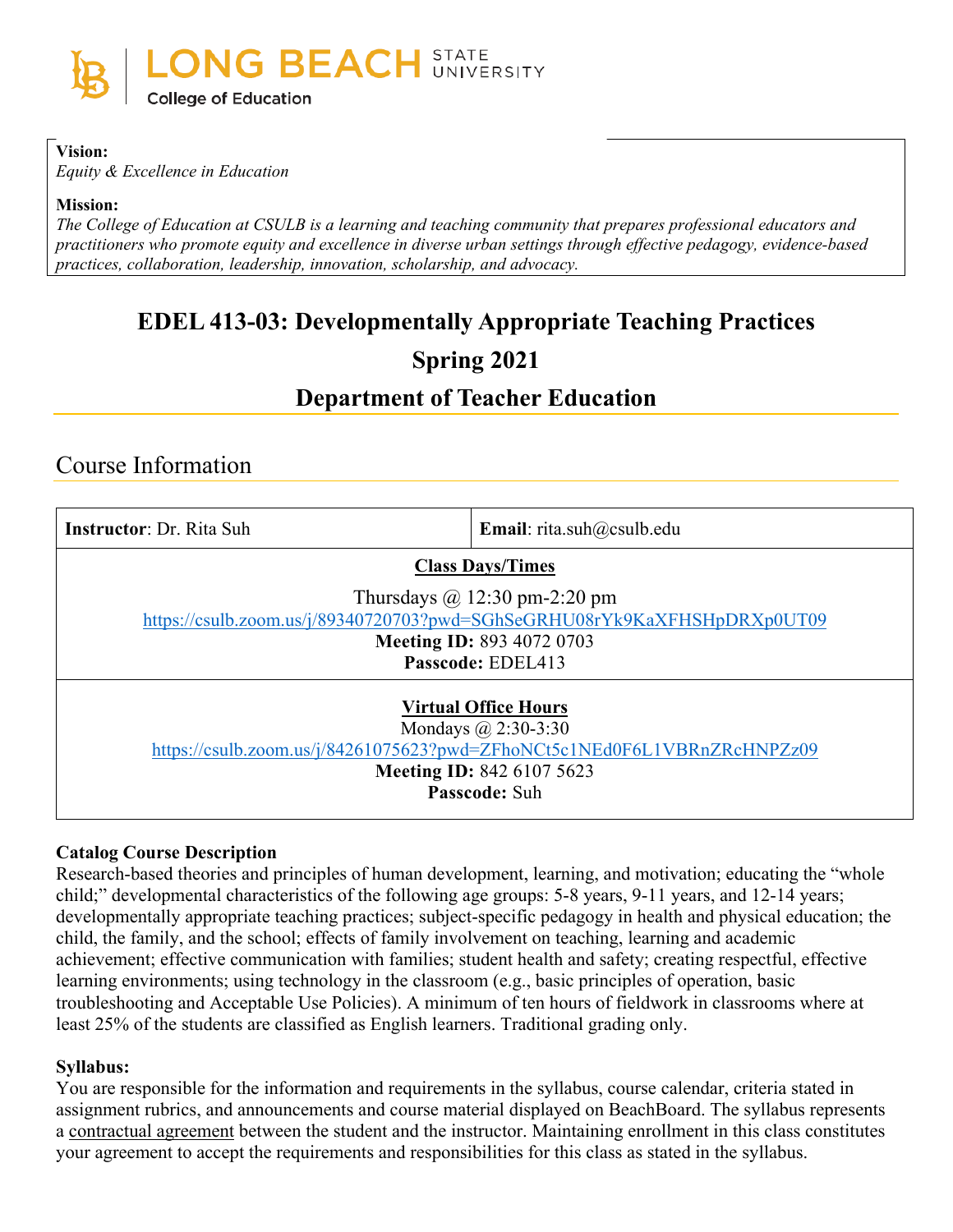

#### **Vision:**

*Equity & Excellence in Education*

#### **Mission:**

*The College of Education at CSULB is a learning and teaching community that prepares professional educators and practitioners who promote equity and excellence in diverse urban settings through effective pedagogy, evidence-based practices, collaboration, leadership, innovation, scholarship, and advocacy.*

# **EDEL 413-03: Developmentally Appropriate Teaching Practices Spring 2021**

# **Department of Teacher Education**

# Course Information

| <b>Instructor: Dr. Rita Suh</b>                                                                                                                                                            | <b>Email:</b> rita.suh $@c$ csulb.edu |  |
|--------------------------------------------------------------------------------------------------------------------------------------------------------------------------------------------|---------------------------------------|--|
| <b>Class Days/Times</b>                                                                                                                                                                    |                                       |  |
| Thursdays $\omega$ 12:30 pm-2:20 pm<br>https://csulb.zoom.us/j/89340720703?pwd=SGhSeGRHU08rYk9KaXFHSHpDRXp0UT09<br><b>Meeting ID: 893 4072 0703</b><br>Passcode: EDEL413                   |                                       |  |
| <b>Virtual Office Hours</b><br>Mondays $\omega$ 2:30-3:30<br>https://csulb.zoom.us/j/84261075623?pwd=ZFhoNCt5c1NEd0F6L1VBRnZRcHNPZz09<br><b>Meeting ID: 842 6107 5623</b><br>Passcode: Suh |                                       |  |

### **Catalog Course Description**

Research-based theories and principles of human development, learning, and motivation; educating the "whole child;" developmental characteristics of the following age groups: 5-8 years, 9-11 years, and 12-14 years; developmentally appropriate teaching practices; subject-specific pedagogy in health and physical education; the child, the family, and the school; effects of family involvement on teaching, learning and academic achievement; effective communication with families; student health and safety; creating respectful, effective learning environments; using technology in the classroom (e.g., basic principles of operation, basic troubleshooting and Acceptable Use Policies). A minimum of ten hours of fieldwork in classrooms where at least 25% of the students are classified as English learners. Traditional grading only.

### **Syllabus:**

You are responsible for the information and requirements in the syllabus, course calendar, criteria stated in assignment rubrics, and announcements and course material displayed on BeachBoard. The syllabus represents a contractual agreement between the student and the instructor. Maintaining enrollment in this class constitutes your agreement to accept the requirements and responsibilities for this class as stated in the syllabus.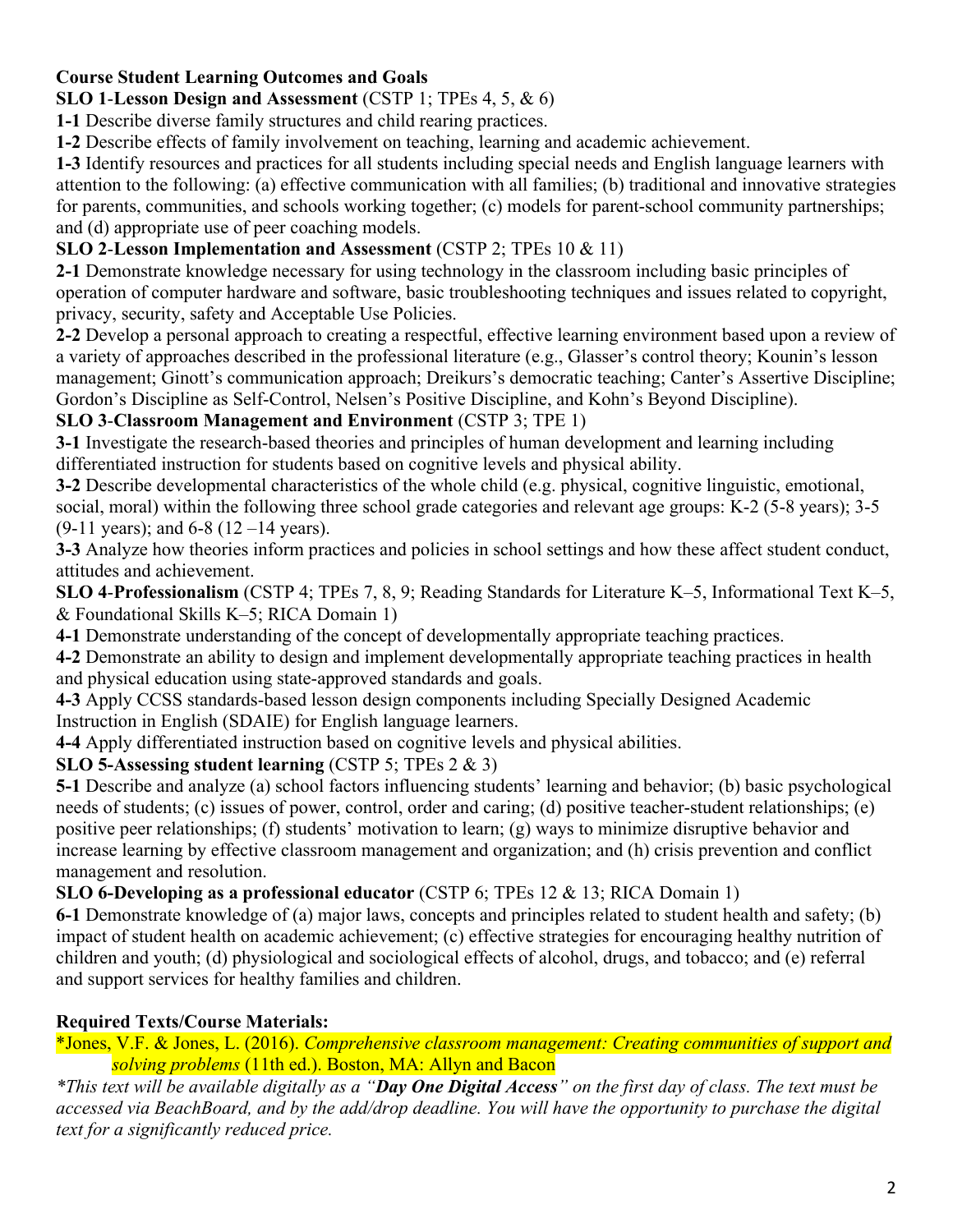# **Course Student Learning Outcomes and Goals**

**SLO 1**-**Lesson Design and Assessment** (CSTP 1; TPEs 4, 5, & 6)

**1-1** Describe diverse family structures and child rearing practices.

**1-2** Describe effects of family involvement on teaching, learning and academic achievement.

**1-3** Identify resources and practices for all students including special needs and English language learners with attention to the following: (a) effective communication with all families; (b) traditional and innovative strategies for parents, communities, and schools working together; (c) models for parent-school community partnerships; and (d) appropriate use of peer coaching models.

# **SLO 2**-**Lesson Implementation and Assessment** (CSTP 2; TPEs 10 & 11)

**2-1** Demonstrate knowledge necessary for using technology in the classroom including basic principles of operation of computer hardware and software, basic troubleshooting techniques and issues related to copyright, privacy, security, safety and Acceptable Use Policies.

**2-2** Develop a personal approach to creating a respectful, effective learning environment based upon a review of a variety of approaches described in the professional literature (e.g., Glasser's control theory; Kounin's lesson management; Ginott's communication approach; Dreikurs's democratic teaching; Canter's Assertive Discipline; Gordon's Discipline as Self-Control, Nelsen's Positive Discipline, and Kohn's Beyond Discipline).

# **SLO 3**-**Classroom Management and Environment** (CSTP 3; TPE 1)

**3-1** Investigate the research-based theories and principles of human development and learning including differentiated instruction for students based on cognitive levels and physical ability.

**3-2** Describe developmental characteristics of the whole child (e.g. physical, cognitive linguistic, emotional, social, moral) within the following three school grade categories and relevant age groups: K-2 (5-8 years); 3-5  $(9-11 \text{ years})$ ; and 6-8  $(12-14 \text{ years})$ .

**3-3** Analyze how theories inform practices and policies in school settings and how these affect student conduct, attitudes and achievement.

**SLO 4**-**Professionalism** (CSTP 4; TPEs 7, 8, 9; Reading Standards for Literature K–5, Informational Text K–5, & Foundational Skills K–5; RICA Domain 1)

**4-1** Demonstrate understanding of the concept of developmentally appropriate teaching practices.

**4-2** Demonstrate an ability to design and implement developmentally appropriate teaching practices in health and physical education using state-approved standards and goals.

**4-3** Apply CCSS standards-based lesson design components including Specially Designed Academic Instruction in English (SDAIE) for English language learners.

**4-4** Apply differentiated instruction based on cognitive levels and physical abilities.

# **SLO 5-Assessing student learning** (CSTP 5; TPEs 2 & 3)

**5-1** Describe and analyze (a) school factors influencing students' learning and behavior; (b) basic psychological needs of students; (c) issues of power, control, order and caring; (d) positive teacher-student relationships; (e) positive peer relationships; (f) students' motivation to learn; (g) ways to minimize disruptive behavior and increase learning by effective classroom management and organization; and (h) crisis prevention and conflict management and resolution.

**SLO 6-Developing as a professional educator** (CSTP 6; TPEs 12 & 13; RICA Domain 1)

**6-1** Demonstrate knowledge of (a) major laws, concepts and principles related to student health and safety; (b) impact of student health on academic achievement; (c) effective strategies for encouraging healthy nutrition of children and youth; (d) physiological and sociological effects of alcohol, drugs, and tobacco; and (e) referral and support services for healthy families and children.

# **Required Texts/Course Materials:**

\*Jones, V.F. & Jones, L. (2016). *Comprehensive classroom management: Creating communities of support and solving problems* (11th ed.). Boston, MA: Allyn and Bacon

*\*This text will be available digitally as a "Day One Digital Access" on the first day of class. The text must be accessed via BeachBoard, and by the add/drop deadline. You will have the opportunity to purchase the digital text for a significantly reduced price.*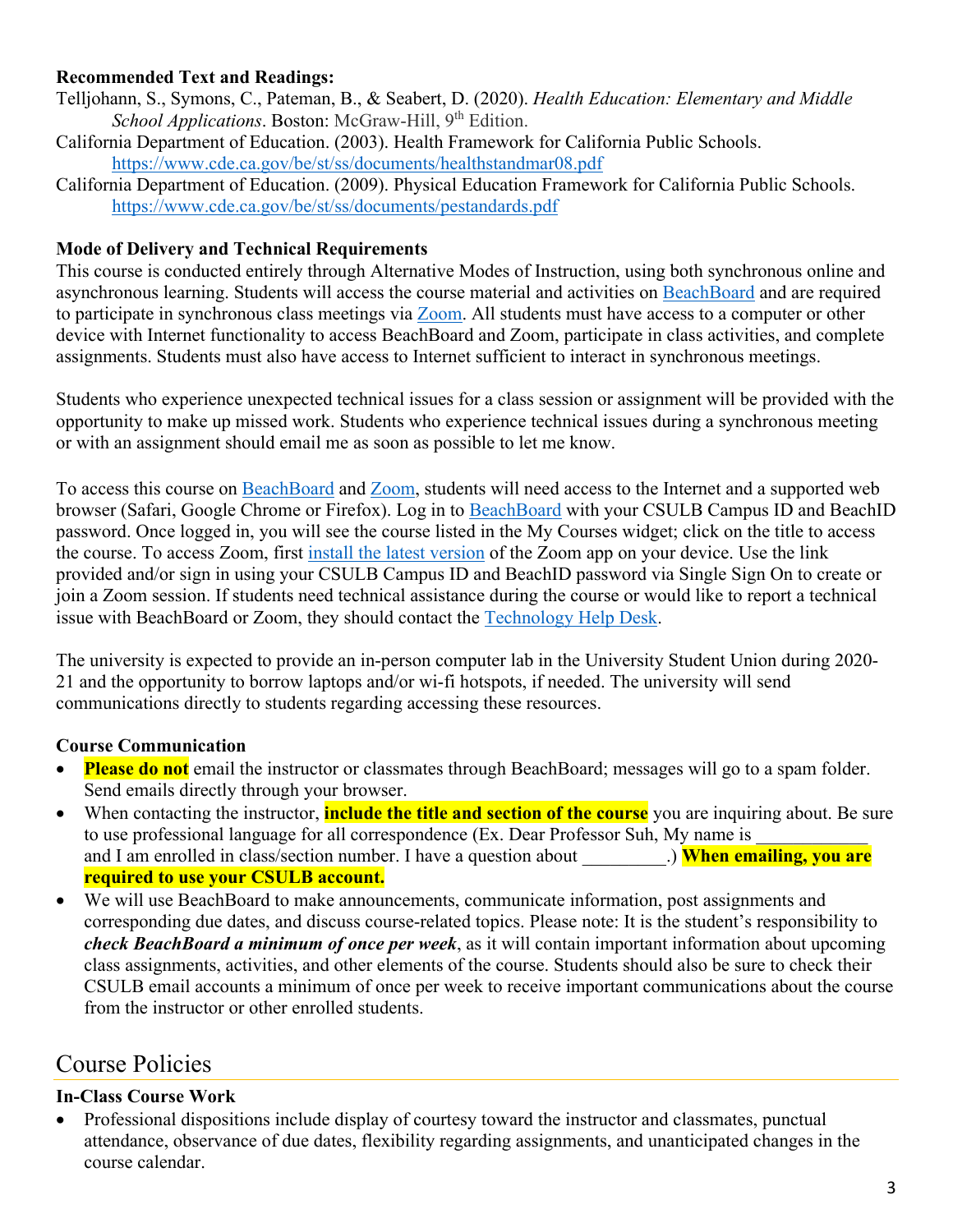## **Recommended Text and Readings:**

- Telljohann, S., Symons, C., Pateman, B., & Seabert, D. (2020). *Health Education: Elementary and Middle School Applications*. Boston: McGraw-Hill, 9<sup>th</sup> Edition.
- California Department of Education. (2003). Health Framework for California Public Schools. <https://www.cde.ca.gov/be/st/ss/documents/healthstandmar08.pdf>
- California Department of Education. (2009). Physical Education Framework for California Public Schools. <https://www.cde.ca.gov/be/st/ss/documents/pestandards.pdf>

#### **Mode of Delivery and Technical Requirements**

This course is conducted entirely through Alternative Modes of Instruction, using both synchronous online and asynchronous learning. Students will access the course material and activities on [BeachBoard](https://bbcsulb.desire2learn.com/d2l/home) and are required to participate in synchronous class meetings via **Zoom**. All students must have access to a computer or other device with Internet functionality to access BeachBoard and Zoom, participate in class activities, and complete assignments. Students must also have access to Internet sufficient to interact in synchronous meetings.

Students who experience unexpected technical issues for a class session or assignment will be provided with the opportunity to make up missed work. Students who experience technical issues during a synchronous meeting or with an assignment should email me as soon as possible to let me know.

To access this course on BeachBoard and [Zoom,](https://csulb.zoom.us/meeting) students will need access to the Internet and a supported web browser (Safari, Google Chrome or Firefox). Log in to [BeachBoard](https://bbcsulb.desire2learn.com/) with your CSULB Campus ID and BeachID password. Once logged in, you will see the course listed in the My Courses widget; click on the title to access the course. To access Zoom, first [install the latest version](https://zoom.us/download) of the Zoom app on your device. Use the link provided and/or sign in using your CSULB Campus ID and BeachID password via Single Sign On to create or join a Zoom session. If students need technical assistance during the course or would like to report a technical issue with BeachBoard or Zoom, they should contact the [Technology Help Desk.](https://www.csulb.edu/academic-technology-services/academic-technology-resources-for-students)

The university is expected to provide an in-person computer lab in the University Student Union during 2020- 21 and the opportunity to borrow laptops and/or wi-fi hotspots, if needed. The university will send communications directly to students regarding accessing these resources.

### **Course Communication**

- **Please do not** email the instructor or classmates through BeachBoard; messages will go to a spam folder. Send emails directly through your browser.
- When contacting the instructor, **include the title and section of the course** you are inquiring about. Be sure to use professional language for all correspondence (Ex. Dear Professor Suh, My name is and I am enrolled in class/section number. I have a question about **When emailing, you are required to use your CSULB account.**
- We will use BeachBoard to make announcements, communicate information, post assignments and corresponding due dates, and discuss course-related topics. Please note: It is the student's responsibility to *check BeachBoard a minimum of once per week*, as it will contain important information about upcoming class assignments, activities, and other elements of the course. Students should also be sure to check their CSULB email accounts a minimum of once per week to receive important communications about the course from the instructor or other enrolled students.

# Course Policies

### **In-Class Course Work**

• Professional dispositions include display of courtesy toward the instructor and classmates, punctual attendance, observance of due dates, flexibility regarding assignments, and unanticipated changes in the course calendar.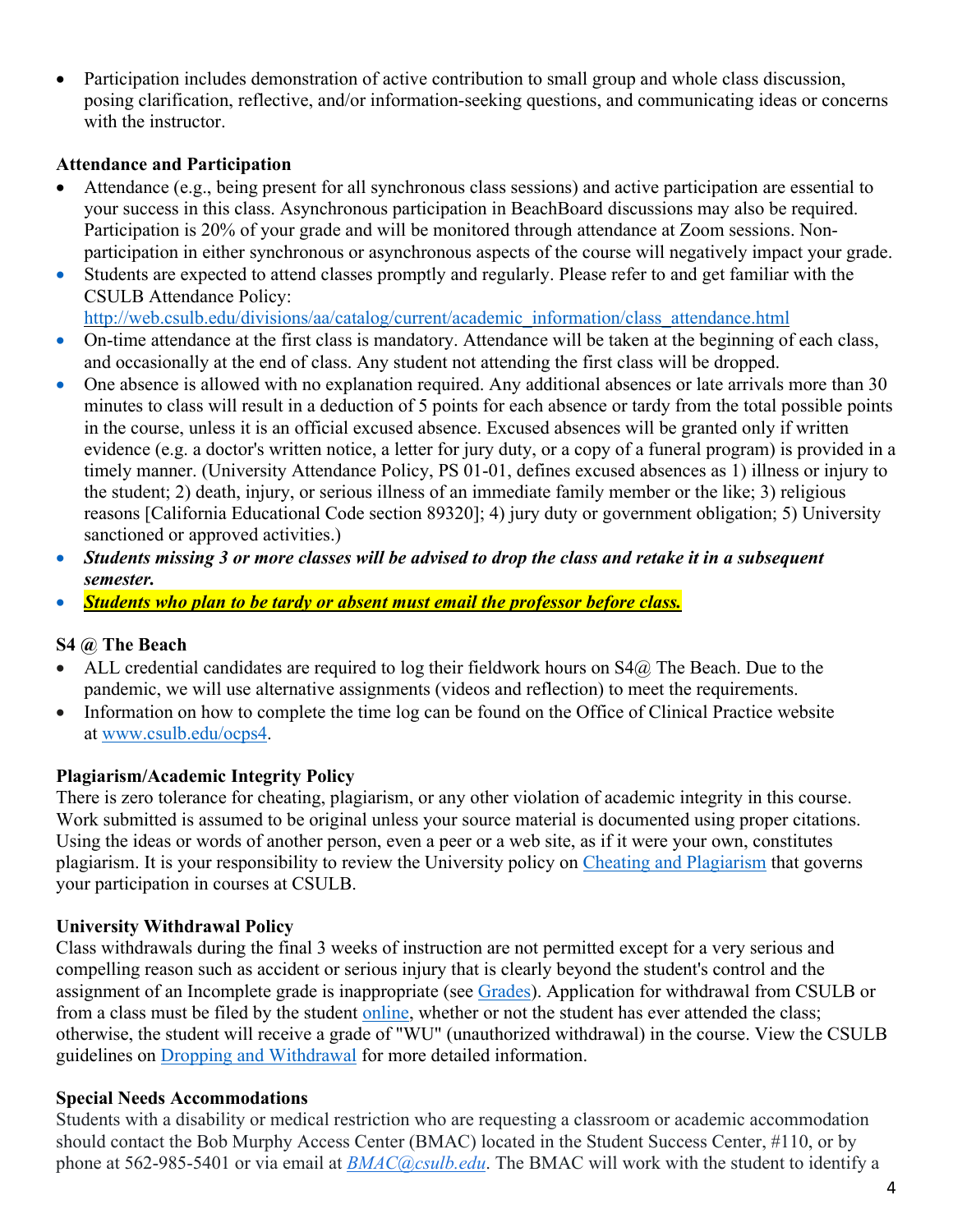• Participation includes demonstration of active contribution to small group and whole class discussion, posing clarification, reflective, and/or information-seeking questions, and communicating ideas or concerns with the instructor.

### **Attendance and Participation**

- Attendance (e.g., being present for all synchronous class sessions) and active participation are essential to your success in this class. Asynchronous participation in BeachBoard discussions may also be required. Participation is 20% of your grade and will be monitored through attendance at Zoom sessions. Nonparticipation in either synchronous or asynchronous aspects of the course will negatively impact your grade.
- Students are expected to attend classes promptly and regularly. Please refer to and get familiar with the CSULB Attendance Policy:

[http://web.csulb.edu/divisions/aa/catalog/current/academic\\_information/class\\_attendance.html](http://web.csulb.edu/divisions/aa/catalog/current/academic_information/class_attendance.html)

- On-time attendance at the first class is mandatory. Attendance will be taken at the beginning of each class, and occasionally at the end of class. Any student not attending the first class will be dropped.
- One absence is allowed with no explanation required. Any additional absences or late arrivals more than 30 minutes to class will result in a deduction of 5 points for each absence or tardy from the total possible points in the course, unless it is an official excused absence. Excused absences will be granted only if written evidence (e.g. a doctor's written notice, a letter for jury duty, or a copy of a funeral program) is provided in a timely manner. (University Attendance Policy, PS 01-01, defines excused absences as 1) illness or injury to the student; 2) death, injury, or serious illness of an immediate family member or the like; 3) religious reasons [California Educational Code section 89320]; 4) jury duty or government obligation; 5) University sanctioned or approved activities.)
- *Students missing 3 or more classes will be advised to drop the class and retake it in a subsequent semester.*
- *Students who plan to be tardy or absent must email the professor before class.*

# **S4 @ The Beach**

- ALL credential candidates are required to log their fieldwork hours on  $S4@$  The Beach. Due to the pandemic, we will use alternative assignments (videos and reflection) to meet the requirements.
- Information on how to complete the time log can be found on the Office of Clinical Practice website at [www.csulb.edu/ocps4.](http://www.csulb.edu/ocps4)

# **Plagiarism/Academic Integrity Policy**

There is zero tolerance for cheating, plagiarism, or any other violation of academic integrity in this course. Work submitted is assumed to be original unless your source material is documented using proper citations. Using the ideas or words of another person, even a peer or a web site, as if it were your own, constitutes plagiarism. It is your responsibility to review the University policy on [Cheating and Plagiarism](http://catalog.csulb.edu/content.php?catoid=5&navoid=369#cheating-and-plagiarism) that governs your participation in courses at CSULB.

# **University Withdrawal Policy**

Class withdrawals during the final 3 weeks of instruction are not permitted except for a very serious and compelling reason such as accident or serious injury that is clearly beyond the student's control and the assignment of an Incomplete grade is inappropriate (see [Grades\)](http://www.csulb.edu/depts/enrollment/student_academic_records/grading.html). Application for withdrawal from CSULB or from a class must be filed by the student [online,](https://www.csulb.edu/student-records/dropping-and-withdrawing) whether or not the student has ever attended the class; otherwise, the student will receive a grade of "WU" (unauthorized withdrawal) in the course. View the CSULB guidelines on [Dropping and Withdrawal](https://www.csulb.edu/student-records/dropping-and-withdrawing#:%7E:text=Policy,after%20separation%20from%20the%20university.) for more detailed information.

# **Special Needs Accommodations**

Students with a disability or medical restriction who are requesting a classroom or academic accommodation should contact the Bob Murphy Access Center (BMAC) located in the Student Success Center, #110, or by phone at 562-985-5401 or via email at *[BMAC@csulb.edu](mailto:BMAC@csulb.edu)*. The BMAC will work with the student to identify a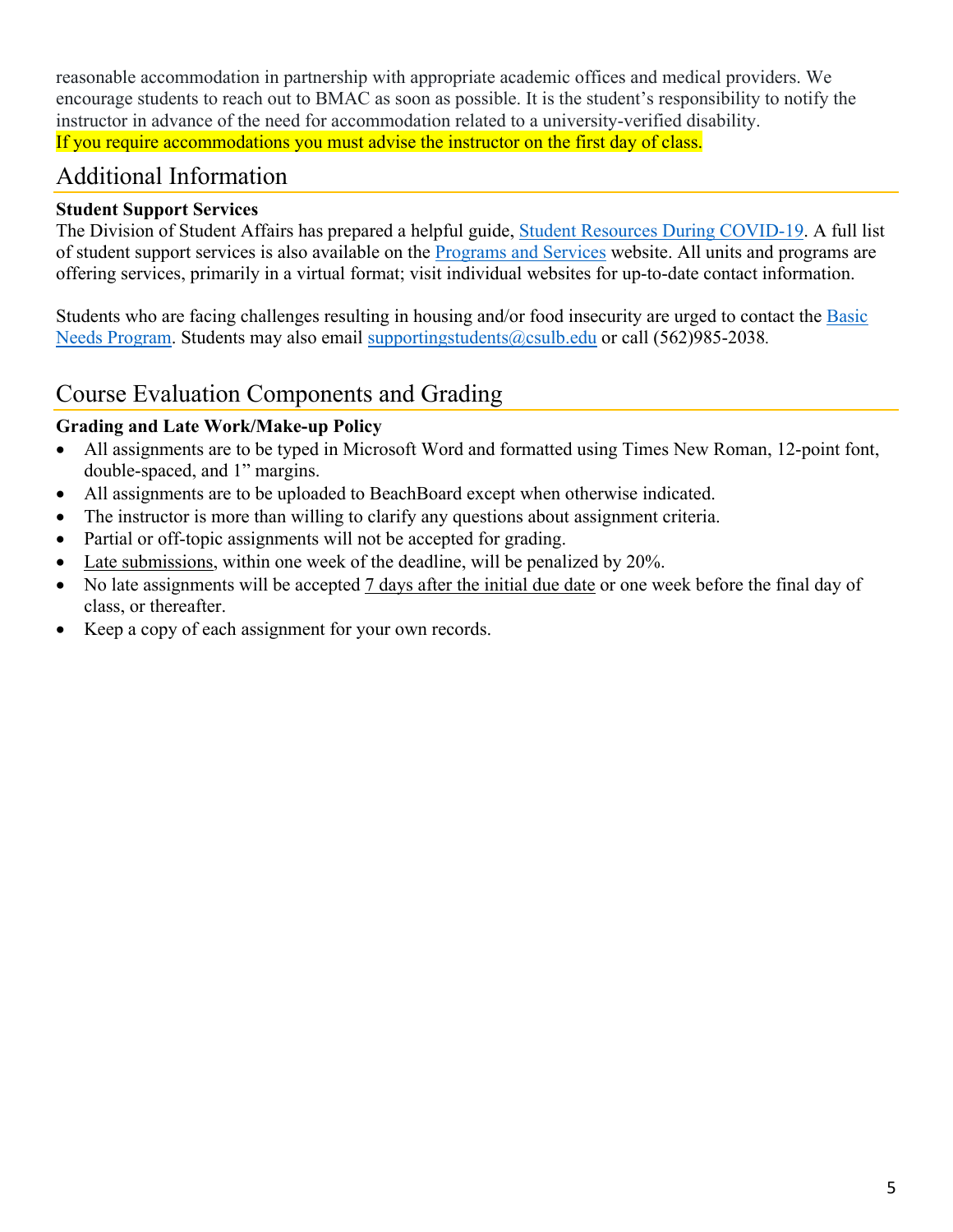reasonable accommodation in partnership with appropriate academic offices and medical providers. We encourage students to reach out to BMAC as soon as possible. It is the student's responsibility to notify the instructor in advance of the need for accommodation related to a university-verified disability. If you require accommodations you must advise the instructor on the first day of class.

# Additional Information

# **Student Support Services**

The Division of Student Affairs has prepared a helpful guide, [Student Resources During COVID-19.](https://rb.gy/ql7w8j) A full list of student support services is also available on the [Programs and Services](http://web.csulb.edu/divisions/students/programs.html) website. All units and programs are offering services, primarily in a virtual format; visit individual websites for up-to-date contact information.

Students who are facing challenges resulting in housing and/or food insecurity are urged to contact the Basic [Needs Program.](http://web.csulb.edu/divisions/students/basic_needs_program/index.html) Students may also email [supportingstudents@csulb.edu](mailto:supportingstudents@csulb.edu) or call (562)985-2038*.*

# Course Evaluation Components and Grading

# **Grading and Late Work/Make-up Policy**

- All assignments are to be typed in Microsoft Word and formatted using Times New Roman, 12-point font, double-spaced, and 1" margins.
- All assignments are to be uploaded to BeachBoard except when otherwise indicated.
- The instructor is more than willing to clarify any questions about assignment criteria.
- Partial or off-topic assignments will not be accepted for grading.
- Late submissions, within one week of the deadline, will be penalized by 20%.
- No late assignments will be accepted 7 days after the initial due date or one week before the final day of class, or thereafter.
- Keep a copy of each assignment for your own records.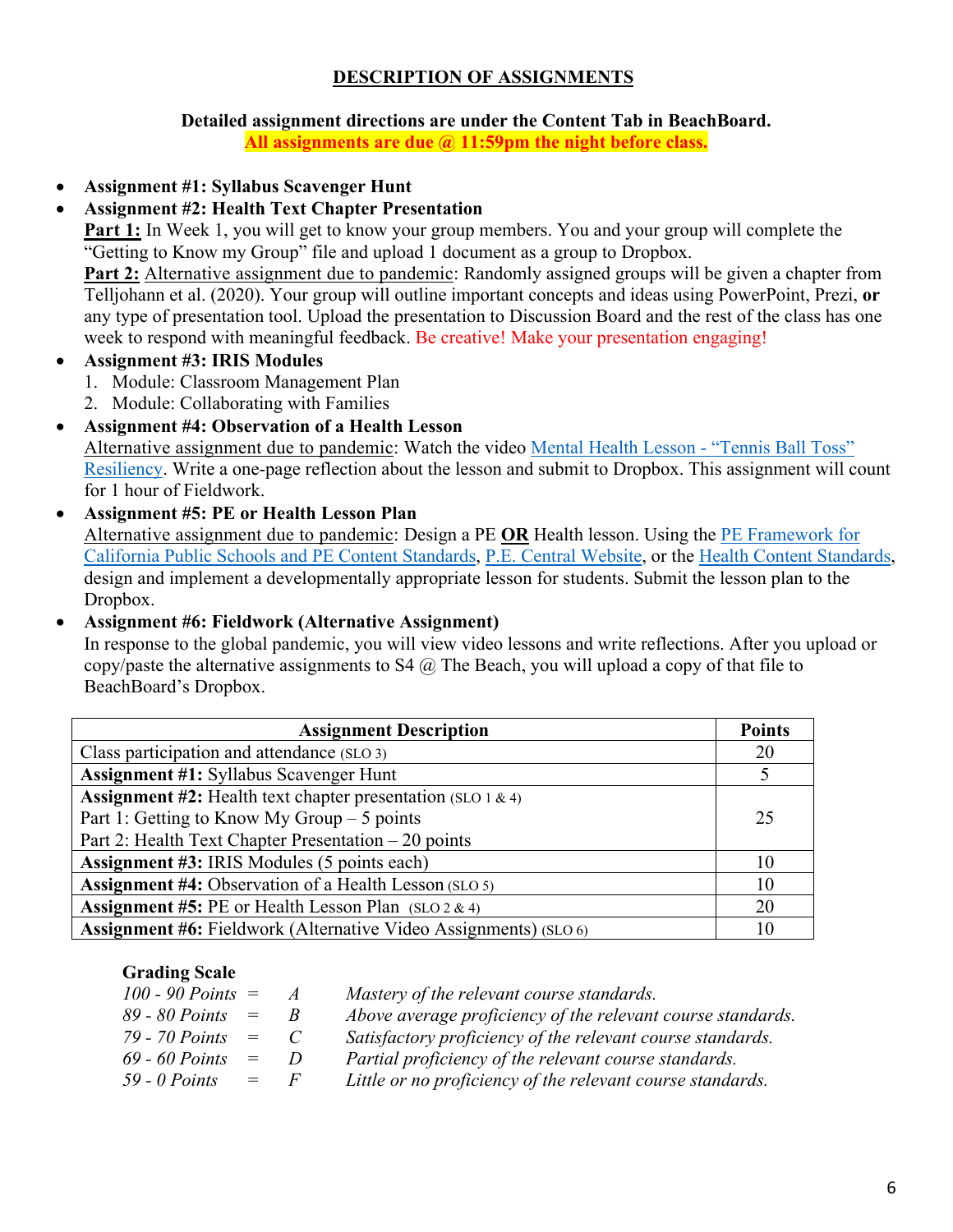## **DESCRIPTION OF ASSIGNMENTS**

#### **Detailed assignment directions are under the Content Tab in BeachBoard.**

**All assignments are due @ 11:59pm the night before class.**

• **Assignment #1: Syllabus Scavenger Hunt**

## • **Assignment #2: Health Text Chapter Presentation**

**Part 1:** In Week 1, you will get to know your group members. You and your group will complete the "Getting to Know my Group" file and upload 1 document as a group to Dropbox.

**Part 2:** Alternative assignment due to pandemic: Randomly assigned groups will be given a chapter from Telljohann et al. (2020). Your group will outline important concepts and ideas using PowerPoint, Prezi, **or** any type of presentation tool. Upload the presentation to Discussion Board and the rest of the class has one week to respond with meaningful feedback. Be creative! Make your presentation engaging!

## • **Assignment #3: IRIS Modules**

- 1. Module: Classroom Management Plan
- 2. Module: Collaborating with Families

# • **Assignment #4: Observation of a Health Lesson**

Alternative assignment due to pandemic: Watch the video [Mental Health Lesson -](https://www.youtube.com/watch?v=CoNchoFOMYA&feature=youtu.be) "Tennis Ball Toss" [Resiliency.](https://www.youtube.com/watch?v=CoNchoFOMYA&feature=youtu.be) Write a one-page reflection about the lesson and submit to Dropbox. This assignment will count for 1 hour of Fieldwork.

• **Assignment #5: PE or Health Lesson Plan**  Alternative assignment due to pandemic: Design a PE **OR** Health lesson. Using the [PE Framework for](https://www.cde.ca.gov/be/st/ss/documents/pestandards.pdf)  [California Public Schools and PE Content Standards,](https://www.cde.ca.gov/be/st/ss/documents/pestandards.pdf) [P.E. Central Website,](https://www.pecentral.org/) or the [Health Content Standards,](https://www.cde.ca.gov/be/st/ss/documents/healthstandmar08.pdf) design and implement a developmentally appropriate lesson for students. Submit the lesson plan to the Dropbox.

# • **Assignment #6: Fieldwork (Alternative Assignment)**

In response to the global pandemic, you will view video lessons and write reflections. After you upload or copy/paste the alternative assignments to S4  $\omega$ . The Beach, you will upload a copy of that file to BeachBoard's Dropbox.

| <b>Assignment Description</b>                                           | <b>Points</b> |
|-------------------------------------------------------------------------|---------------|
| Class participation and attendance (SLO 3)                              | 20            |
| <b>Assignment #1: Syllabus Scavenger Hunt</b>                           |               |
| <b>Assignment #2:</b> Health text chapter presentation (SLO 1 & 4)      |               |
| Part 1: Getting to Know My Group $-5$ points                            |               |
| Part 2: Health Text Chapter Presentation - 20 points                    |               |
| <b>Assignment #3: IRIS Modules (5 points each)</b>                      |               |
| <b>Assignment #4: Observation of a Health Lesson (SLO 5)</b>            |               |
| <b>Assignment #5:</b> PE or Health Lesson Plan $(SLO 2 & 4)$            |               |
| <b>Assignment #6:</b> Fieldwork (Alternative Video Assignments) (SLO 6) |               |

# **Grading Scale**

| $100 - 90$ Points $=$ |     | A              | Mastery of the relevant course standards.                   |
|-----------------------|-----|----------------|-------------------------------------------------------------|
| 89 - 80 Points        | $=$ | $R_{\perp}$    | Above average proficiency of the relevant course standards. |
| 79 - 70 Points        | $=$ | $\sim$ $\sim$  | Satisfactory proficiency of the relevant course standards.  |
| $69 - 60$ Points      | $=$ | $\overline{D}$ | Partial proficiency of the relevant course standards.       |
| $59 - 0$ Points       | $=$ | $\overline{F}$ | Little or no proficiency of the relevant course standards.  |
|                       |     |                |                                                             |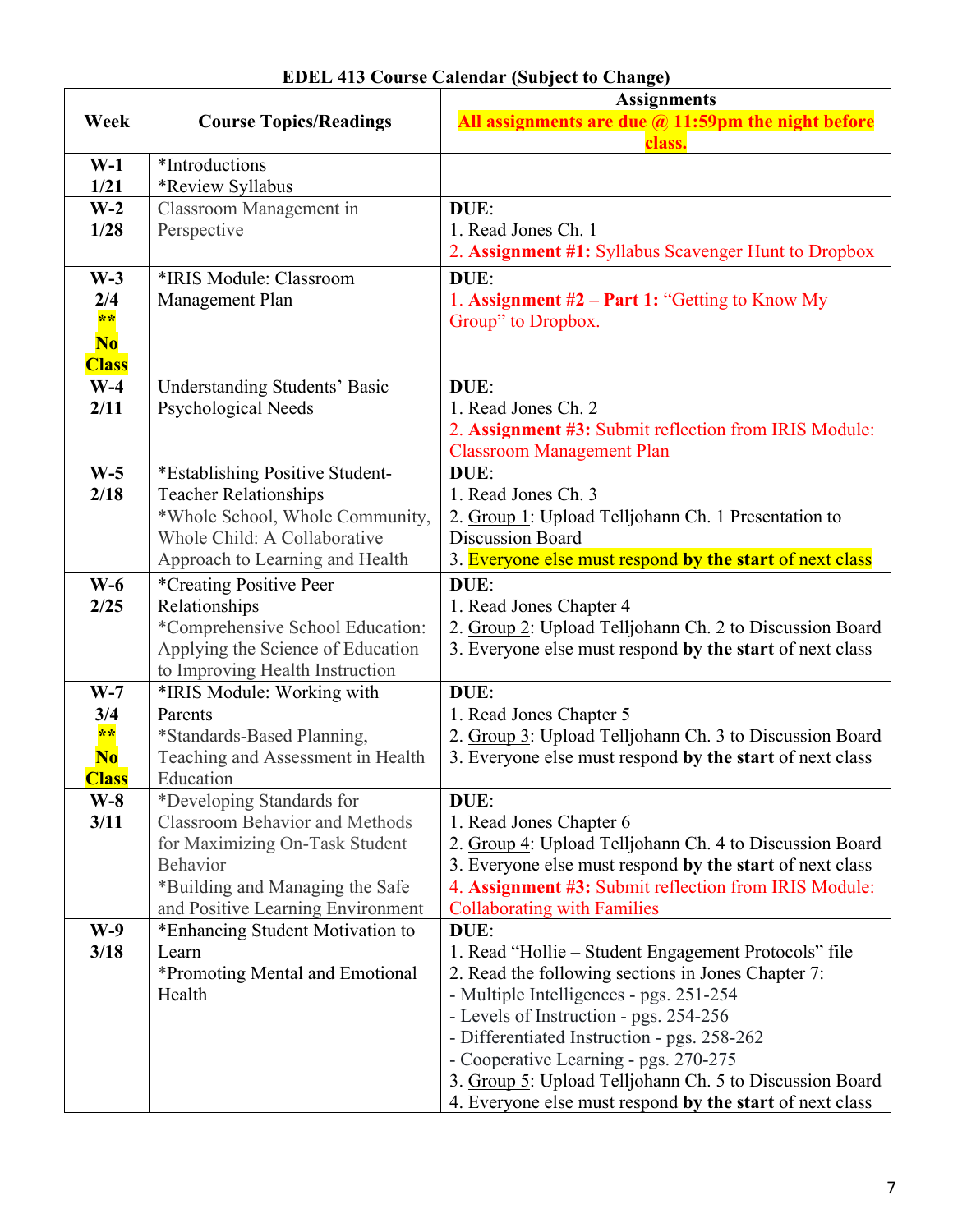|                |                                                                       | <b>Assignments</b>                                        |
|----------------|-----------------------------------------------------------------------|-----------------------------------------------------------|
| Week           | <b>Course Topics/Readings</b>                                         | All assignments are due $\omega$ 11:59pm the night before |
|                |                                                                       | class.                                                    |
| $W-1$          | *Introductions                                                        |                                                           |
| 1/21           | *Review Syllabus                                                      |                                                           |
| $W-2$          | Classroom Management in                                               | DUE:                                                      |
| 1/28           | Perspective                                                           | 1. Read Jones Ch. 1                                       |
|                |                                                                       | 2. Assignment #1: Syllabus Scavenger Hunt to Dropbox      |
| $W-3$          | *IRIS Module: Classroom                                               | DUE:                                                      |
| 2/4            | Management Plan                                                       | 1. Assignment $#2$ – Part 1: "Getting to Know My          |
| $***$          |                                                                       | Group" to Dropbox.                                        |
| N <sub>0</sub> |                                                                       |                                                           |
| <b>Class</b>   |                                                                       |                                                           |
| $W-4$          | <b>Understanding Students' Basic</b>                                  | DUE:                                                      |
| 2/11           | Psychological Needs                                                   | 1. Read Jones Ch. 2                                       |
|                |                                                                       | 2. Assignment #3: Submit reflection from IRIS Module:     |
|                |                                                                       | <b>Classroom Management Plan</b>                          |
| $W-5$<br>2/18  | *Establishing Positive Student-                                       | DUE:<br>1. Read Jones Ch. 3                               |
|                | <b>Teacher Relationships</b><br>*Whole School, Whole Community,       | 2. Group 1: Upload Telljohann Ch. 1 Presentation to       |
|                | Whole Child: A Collaborative                                          | <b>Discussion Board</b>                                   |
|                | Approach to Learning and Health                                       | 3. Everyone else must respond by the start of next class  |
| $W-6$          | *Creating Positive Peer                                               | DUE:                                                      |
| 2/25           | Relationships                                                         | 1. Read Jones Chapter 4                                   |
|                | *Comprehensive School Education:                                      | 2. Group 2: Upload Telljohann Ch. 2 to Discussion Board   |
|                | Applying the Science of Education                                     | 3. Everyone else must respond by the start of next class  |
|                | to Improving Health Instruction                                       |                                                           |
| $W-7$          | *IRIS Module: Working with                                            | DUE:                                                      |
| 3/4            | Parents                                                               | 1. Read Jones Chapter 5                                   |
| $**$           | *Standards-Based Planning,                                            | 2. Group 3: Upload Telljohann Ch. 3 to Discussion Board   |
| N <sub>0</sub> | Teaching and Assessment in Health                                     | 3. Everyone else must respond by the start of next class  |
| <b>Class</b>   | Education                                                             |                                                           |
| $W-8$          | *Developing Standards for                                             | DUE:                                                      |
| 3/11           | <b>Classroom Behavior and Methods</b>                                 | 1. Read Jones Chapter 6                                   |
|                | for Maximizing On-Task Student                                        | 2. Group 4: Upload Telljohann Ch. 4 to Discussion Board   |
|                | <b>Behavior</b>                                                       | 3. Everyone else must respond by the start of next class  |
|                | *Building and Managing the Safe                                       | 4. Assignment #3: Submit reflection from IRIS Module:     |
| $W-9$          | and Positive Learning Environment<br>*Enhancing Student Motivation to | <b>Collaborating with Families</b><br>DUE:                |
| 3/18           | Learn                                                                 | 1. Read "Hollie – Student Engagement Protocols" file      |
|                | *Promoting Mental and Emotional                                       | 2. Read the following sections in Jones Chapter 7:        |
|                | Health                                                                | - Multiple Intelligences - pgs. 251-254                   |
|                |                                                                       | - Levels of Instruction - pgs. 254-256                    |
|                |                                                                       | - Differentiated Instruction - pgs. 258-262               |
|                |                                                                       | - Cooperative Learning - pgs. 270-275                     |
|                |                                                                       | 3. Group 5: Upload Telljohann Ch. 5 to Discussion Board   |
|                |                                                                       | 4. Everyone else must respond by the start of next class  |

| <b>EDEL 413 Course Calendar (Subject to Change)</b> |  |
|-----------------------------------------------------|--|
|-----------------------------------------------------|--|